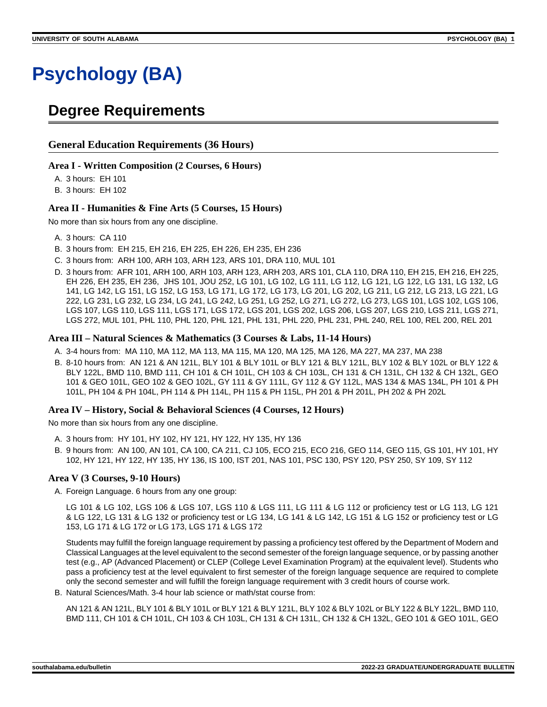# **Psychology (BA)**

### **Degree Requirements**

#### **General Education Requirements (36 Hours)**

#### **Area I - Written Composition (2 Courses, 6 Hours)**

A. 3 hours: EH 101

B. 3 hours: EH 102

#### **Area II - Humanities & Fine Arts (5 Courses, 15 Hours)**

No more than six hours from any one discipline.

- A. 3 hours: CA 110
- B. 3 hours from: EH 215, EH 216, EH 225, EH 226, EH 235, EH 236
- C. 3 hours from: ARH 100, ARH 103, ARH 123, ARS 101, DRA 110, MUL 101
- D. 3 hours from: AFR 101, ARH 100, ARH 103, ARH 123, ARH 203, ARS 101, CLA 110, DRA 110, EH 215, EH 216, EH 225, EH 226, EH 235, EH 236, JHS 101, JOU 252, LG 101, LG 102, LG 111, LG 112, LG 121, LG 122, LG 131, LG 132, LG 141, LG 142, LG 151, LG 152, LG 153, LG 171, LG 172, LG 173, LG 201, LG 202, LG 211, LG 212, LG 213, LG 221, LG 222, LG 231, LG 232, LG 234, LG 241, LG 242, LG 251, LG 252, LG 271, LG 272, LG 273, LGS 101, LGS 102, LGS 106, LGS 107, LGS 110, LGS 111, LGS 171, LGS 172, LGS 201, LGS 202, LGS 206, LGS 207, LGS 210, LGS 211, LGS 271, LGS 272, MUL 101, PHL 110, PHL 120, PHL 121, PHL 131, PHL 220, PHL 231, PHL 240, REL 100, REL 200, REL 201

#### **Area III – Natural Sciences & Mathematics (3 Courses & Labs, 11-14 Hours)**

- A. 3-4 hours from: MA 110, MA 112, MA 113, MA 115, MA 120, MA 125, MA 126, MA 227, MA 237, MA 238
- B. 8-10 hours from: AN 121 & AN 121L, BLY 101 & BLY 101L or BLY 121 & BLY 121L, BLY 102 & BLY 102L or BLY 122 & BLY 122L, BMD 110, BMD 111, CH 101 & CH 101L, CH 103 & CH 103L, CH 131 & CH 131L, CH 132 & CH 132L, GEO 101 & GEO 101L, GEO 102 & GEO 102L, GY 111 & GY 111L, GY 112 & GY 112L, MAS 134 & MAS 134L, PH 101 & PH 101L, PH 104 & PH 104L, PH 114 & PH 114L, PH 115 & PH 115L, PH 201 & PH 201L, PH 202 & PH 202L

#### **Area IV – History, Social & Behavioral Sciences (4 Courses, 12 Hours)**

No more than six hours from any one discipline.

- A. 3 hours from: HY 101, HY 102, HY 121, HY 122, HY 135, HY 136
- B. 9 hours from: AN 100, AN 101, CA 100, CA 211, CJ 105, ECO 215, ECO 216, GEO 114, GEO 115, GS 101, HY 101, HY 102, HY 121, HY 122, HY 135, HY 136, IS 100, IST 201, NAS 101, PSC 130, PSY 120, PSY 250, SY 109, SY 112

#### **Area V (3 Courses, 9-10 Hours)**

A. Foreign Language. 6 hours from any one group:

LG 101 & LG 102, LGS 106 & LGS 107, LGS 110 & LGS 111, LG 111 & LG 112 or proficiency test or LG 113, LG 121 & LG 122, LG 131 & LG 132 or proficiency test or LG 134, LG 141 & LG 142, LG 151 & LG 152 or proficiency test or LG 153, LG 171 & LG 172 or LG 173, LGS 171 & LGS 172

Students may fulfill the foreign language requirement by passing a proficiency test offered by the Department of Modern and Classical Languages at the level equivalent to the second semester of the foreign language sequence, or by passing another test (e.g., AP (Advanced Placement) or CLEP (College Level Examination Program) at the equivalent level). Students who pass a proficiency test at the level equivalent to first semester of the foreign language sequence are required to complete only the second semester and will fulfill the foreign language requirement with 3 credit hours of course work.

B. Natural Sciences/Math. 3-4 hour lab science or math/stat course from:

AN 121 & AN 121L, BLY 101 & BLY 101L or BLY 121 & BLY 121L, BLY 102 & BLY 102L or BLY 122 & BLY 122L, BMD 110, BMD 111, CH 101 & CH 101L, CH 103 & CH 103L, CH 131 & CH 131L, CH 132 & CH 132L, GEO 101 & GEO 101L, GEO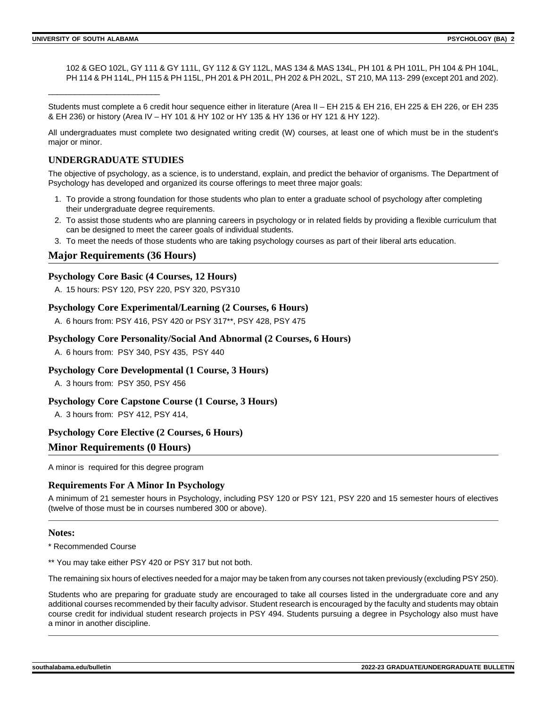102 & GEO 102L, GY 111 & GY 111L, GY 112 & GY 112L, MAS 134 & MAS 134L, PH 101 & PH 101L, PH 104 & PH 104L, PH 114 & PH 114L, PH 115 & PH 115L, PH 201 & PH 201L, PH 202 & PH 202L, ST 210, MA 113-299 (except 201 and 202).

Students must complete a 6 credit hour sequence either in literature (Area II – EH 215 & EH 216, EH 225 & EH 226, or EH 235 & EH 236) or history (Area IV – HY 101 & HY 102 or HY 135 & HY 136 or HY 121 & HY 122).

All undergraduates must complete two designated writing credit (W) courses, at least one of which must be in the student's major or minor.

#### **UNDERGRADUATE STUDIES**

\_\_\_\_\_\_\_\_\_\_\_\_\_\_\_\_\_\_\_\_\_\_\_\_\_

The objective of psychology, as a science, is to understand, explain, and predict the behavior of organisms. The Department of Psychology has developed and organized its course offerings to meet three major goals:

- 1. To provide a strong foundation for those students who plan to enter a graduate school of psychology after completing their undergraduate degree requirements.
- 2. To assist those students who are planning careers in psychology or in related fields by providing a flexible curriculum that can be designed to meet the career goals of individual students.
- 3. To meet the needs of those students who are taking psychology courses as part of their liberal arts education.

#### **Major Requirements (36 Hours)**

#### **Psychology Core Basic (4 Courses, 12 Hours)**

A. 15 hours: PSY 120, PSY 220, PSY 320, PSY310

#### **Psychology Core Experimental/Learning (2 Courses, 6 Hours)**

A. 6 hours from: PSY 416, PSY 420 or PSY 317\*\*, PSY 428, PSY 475

#### **Psychology Core Personality/Social And Abnormal (2 Courses, 6 Hours)**

A. 6 hours from: PSY 340, PSY 435, PSY 440

#### **Psychology Core Developmental (1 Course, 3 Hours)**

A. 3 hours from: PSY 350, PSY 456

#### **Psychology Core Capstone Course (1 Course, 3 Hours)**

A. 3 hours from: PSY 412, PSY 414,

#### **Psychology Core Elective (2 Courses, 6 Hours)**

#### **Minor Requirements (0 Hours)**

A minor is required for this degree program

#### **Requirements For A Minor In Psychology**

A minimum of 21 semester hours in Psychology, including PSY 120 or PSY 121, PSY 220 and 15 semester hours of electives (twelve of those must be in courses numbered 300 or above).

#### **Notes:**

\* Recommended Course

\*\* You may take either PSY 420 or PSY 317 but not both.

The remaining six hours of electives needed for a major may be taken from any courses not taken previously (excluding PSY 250).

Students who are preparing for graduate study are encouraged to take all courses listed in the undergraduate core and any additional courses recommended by their faculty advisor. Student research is encouraged by the faculty and students may obtain course credit for individual student research projects in PSY 494. Students pursuing a degree in Psychology also must have a minor in another discipline.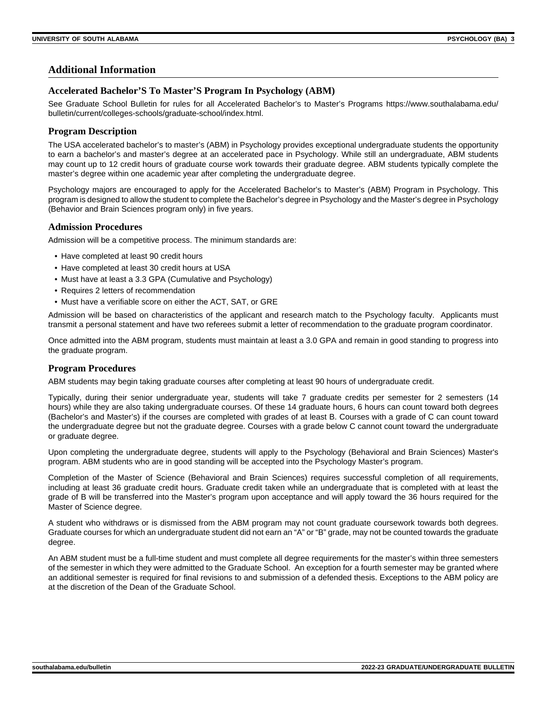#### **Additional Information**

#### **Accelerated Bachelor'S To Master'S Program In Psychology (ABM)**

See Graduate School Bulletin for rules for all Accelerated Bachelor's to Master's Programs https://www.southalabama.edu/ bulletin/current/colleges-schools/graduate-school/index.html.

#### **Program Description**

The USA accelerated bachelor's to master's (ABM) in Psychology provides exceptional undergraduate students the opportunity to earn a bachelor's and master's degree at an accelerated pace in Psychology. While still an undergraduate, ABM students may count up to 12 credit hours of graduate course work towards their graduate degree. ABM students typically complete the master's degree within one academic year after completing the undergraduate degree.

Psychology majors are encouraged to apply for the Accelerated Bachelor's to Master's (ABM) Program in Psychology. This program is designed to allow the student to complete the Bachelor's degree in Psychology and the Master's degree in Psychology (Behavior and Brain Sciences program only) in five years.

#### **Admission Procedures**

Admission will be a competitive process. The minimum standards are:

- Have completed at least 90 credit hours
- Have completed at least 30 credit hours at USA
- Must have at least a 3.3 GPA (Cumulative and Psychology)
- Requires 2 letters of recommendation
- Must have a verifiable score on either the ACT, SAT, or GRE

Admission will be based on characteristics of the applicant and research match to the Psychology faculty. Applicants must transmit a personal statement and have two referees submit a letter of recommendation to the graduate program coordinator.

Once admitted into the ABM program, students must maintain at least a 3.0 GPA and remain in good standing to progress into the graduate program.

#### **Program Procedures**

ABM students may begin taking graduate courses after completing at least 90 hours of undergraduate credit.

Typically, during their senior undergraduate year, students will take 7 graduate credits per semester for 2 semesters (14 hours) while they are also taking undergraduate courses. Of these 14 graduate hours, 6 hours can count toward both degrees (Bachelor's and Master's) if the courses are completed with grades of at least B. Courses with a grade of C can count toward the undergraduate degree but not the graduate degree. Courses with a grade below C cannot count toward the undergraduate or graduate degree.

Upon completing the undergraduate degree, students will apply to the Psychology (Behavioral and Brain Sciences) Master's program. ABM students who are in good standing will be accepted into the Psychology Master's program.

Completion of the Master of Science (Behavioral and Brain Sciences) requires successful completion of all requirements, including at least 36 graduate credit hours. Graduate credit taken while an undergraduate that is completed with at least the grade of B will be transferred into the Master's program upon acceptance and will apply toward the 36 hours required for the Master of Science degree.

A student who withdraws or is dismissed from the ABM program may not count graduate coursework towards both degrees. Graduate courses for which an undergraduate student did not earn an "A" or "B" grade, may not be counted towards the graduate degree.

An ABM student must be a full-time student and must complete all degree requirements for the master's within three semesters of the semester in which they were admitted to the Graduate School. An exception for a fourth semester may be granted where an additional semester is required for final revisions to and submission of a defended thesis. Exceptions to the ABM policy are at the discretion of the Dean of the Graduate School.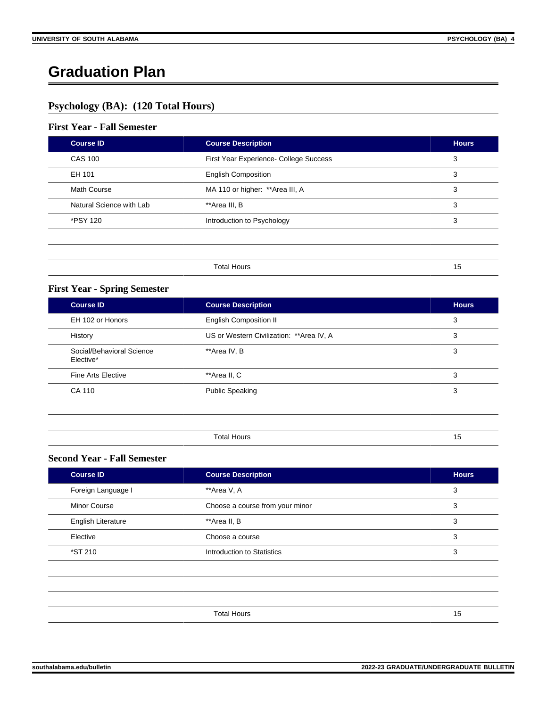## **Graduation Plan**

### **Psychology (BA): (120 Total Hours)**

#### **First Year - Fall Semester**

| <b>Course ID</b>         | <b>Course Description</b>              | <b>Hours</b> |
|--------------------------|----------------------------------------|--------------|
| <b>CAS 100</b>           | First Year Experience- College Success | 3            |
| EH 101                   | <b>English Composition</b>             | 3            |
| Math Course              | MA 110 or higher: ** Area III, A       | 3            |
| Natural Science with Lab | **Area III, B                          | 3            |
| *PSY 120                 | Introduction to Psychology             | 3            |
|                          |                                        |              |
|                          |                                        |              |
|                          | <b>Total Hours</b>                     | 15           |

#### **First Year - Spring Semester**

| <b>Course ID</b>                       | <b>Course Description</b>                 | <b>Hours</b> |
|----------------------------------------|-------------------------------------------|--------------|
| EH 102 or Honors                       | <b>English Composition II</b>             | 3            |
| History                                | US or Western Civilization: ** Area IV, A | 3            |
| Social/Behavioral Science<br>Elective* | **Area IV, B                              | 3            |
| <b>Fine Arts Elective</b>              | **Area II, C                              | 3            |
| CA 110                                 | <b>Public Speaking</b>                    | 3            |
|                                        |                                           |              |
|                                        |                                           |              |

| -<br>∩ta<br>mour | . . |
|------------------|-----|

#### **Second Year - Fall Semester**

| Course <b>ID</b>          | <b>Course Description</b>       | <b>Hours</b> |
|---------------------------|---------------------------------|--------------|
| Foreign Language I        | **Area V, A                     | 3            |
| <b>Minor Course</b>       | Choose a course from your minor | 3            |
| <b>English Literature</b> | **Area II, B                    | 3            |
| Elective                  | Choose a course                 | 3            |
| *ST 210                   | Introduction to Statistics      | 3            |
|                           |                                 |              |
|                           |                                 |              |
|                           |                                 |              |
|                           | <b>Total Hours</b>              | 15           |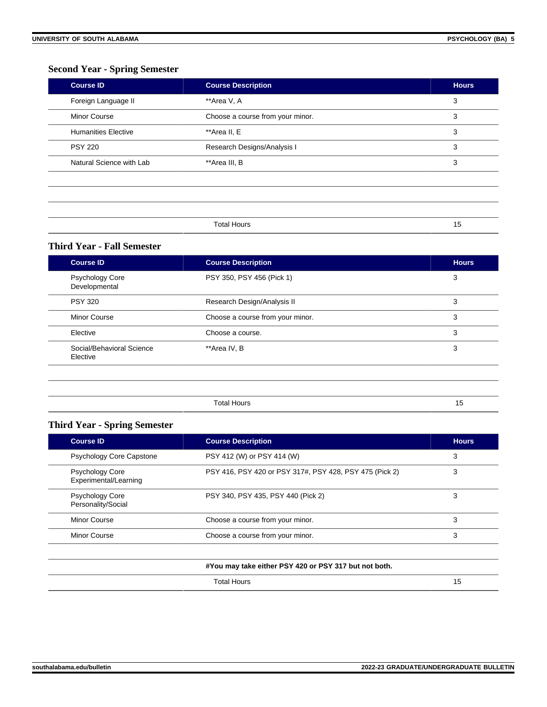#### **Second Year - Spring Semester**

| <b>Course ID</b>           | <b>Course Description</b>        | <b>Hours</b> |
|----------------------------|----------------------------------|--------------|
| Foreign Language II        | **Area V, A                      | 3            |
| <b>Minor Course</b>        | Choose a course from your minor. | 3            |
| <b>Humanities Elective</b> | **Area II, E                     | 3            |
| <b>PSY 220</b>             | Research Designs/Analysis I      | 3            |
| Natural Science with Lab   | **Area III, B                    | 3            |

| <b>Total Hours</b><br>1011110010 | w |
|----------------------------------|---|

#### **Third Year - Fall Semester**

| <b>Course ID</b>                        | <b>Course Description</b>        | <b>Hours</b> |
|-----------------------------------------|----------------------------------|--------------|
| <b>Psychology Core</b><br>Developmental | PSY 350, PSY 456 (Pick 1)        | 3            |
| <b>PSY 320</b>                          | Research Design/Analysis II      | 3            |
| <b>Minor Course</b>                     | Choose a course from your minor. | 3            |
| Elective                                | Choose a course.                 | 3            |
| Social/Behavioral Science<br>Elective   | **Area IV, B                     | 3            |
|                                         |                                  |              |
|                                         | <b>Total Hours</b>               | 15           |

#### **Third Year - Spring Semester**

| <b>Course ID</b>                                | <b>Course Description</b>                               | <b>Hours</b> |
|-------------------------------------------------|---------------------------------------------------------|--------------|
| <b>Psychology Core Capstone</b>                 | PSY 412 (W) or PSY 414 (W)                              | 3            |
| <b>Psychology Core</b><br>Experimental/Learning | PSY 416, PSY 420 or PSY 317#, PSY 428, PSY 475 (Pick 2) | 3            |
| <b>Psychology Core</b><br>Personality/Social    | PSY 340, PSY 435, PSY 440 (Pick 2)                      | 3            |
| Minor Course                                    | Choose a course from your minor.                        | 3            |
| Minor Course                                    | Choose a course from your minor.                        | 3            |

#### **#You may take either PSY 420 or PSY 317 but not both.**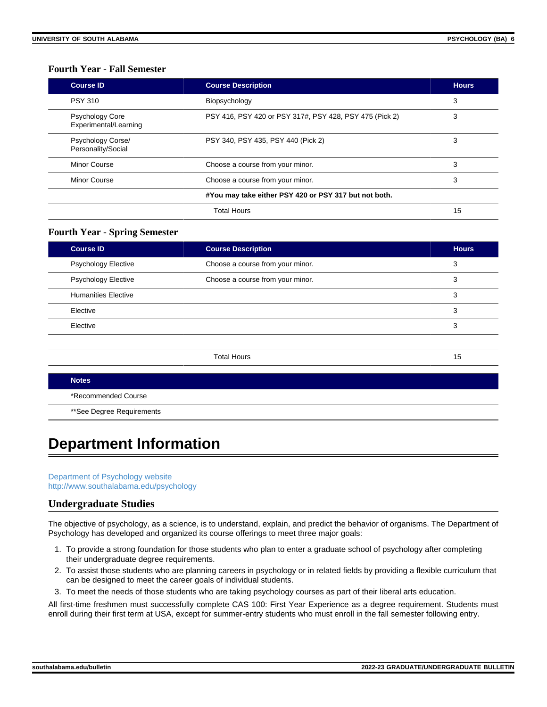#### **Fourth Year - Fall Semester**

| <b>Course ID</b>                                | <b>Course Description</b>                               | <b>Hours</b> |
|-------------------------------------------------|---------------------------------------------------------|--------------|
| <b>PSY 310</b>                                  | Biopsychology                                           | 3            |
| <b>Psychology Core</b><br>Experimental/Learning | PSY 416, PSY 420 or PSY 317#, PSY 428, PSY 475 (Pick 2) | 3            |
| Psychology Corse/<br>Personality/Social         | PSY 340, PSY 435, PSY 440 (Pick 2)                      | 3            |
| Minor Course                                    | Choose a course from your minor.                        | 3            |
| Minor Course                                    | Choose a course from your minor.                        | 3            |
|                                                 | #You may take either PSY 420 or PSY 317 but not both.   |              |
|                                                 | Total Hours                                             | 15           |

#### **Fourth Year - Spring Semester**

| <b>Course ID</b>           | <b>Course Description</b>        | <b>Hours</b> |
|----------------------------|----------------------------------|--------------|
| <b>Psychology Elective</b> | Choose a course from your minor. | 3            |
| <b>Psychology Elective</b> | Choose a course from your minor. | 3            |
| <b>Humanities Elective</b> |                                  | 3            |
| Elective                   |                                  | 3            |
| Elective                   |                                  | 3            |
|                            |                                  |              |
|                            | <b>Total Hours</b>               | 15           |
| <b>Notes</b>               |                                  |              |

#### \*Recommended Course

\*\*See Degree Requirements

## **Department Information**

[Department of Psychology website](https://www.southalabama.edu/colleges/artsandsci/psychology) [http://www.southalabama.edu/psychology](https://www.southalabama.edu/psychology)

#### **Undergraduate Studies**

The objective of psychology, as a science, is to understand, explain, and predict the behavior of organisms. The Department of Psychology has developed and organized its course offerings to meet three major goals:

- 1. To provide a strong foundation for those students who plan to enter a graduate school of psychology after completing their undergraduate degree requirements.
- 2. To assist those students who are planning careers in psychology or in related fields by providing a flexible curriculum that can be designed to meet the career goals of individual students.
- 3. To meet the needs of those students who are taking psychology courses as part of their liberal arts education.

All first-time freshmen must successfully complete CAS 100: First Year Experience as a degree requirement. Students must enroll during their first term at USA, except for summer-entry students who must enroll in the fall semester following entry.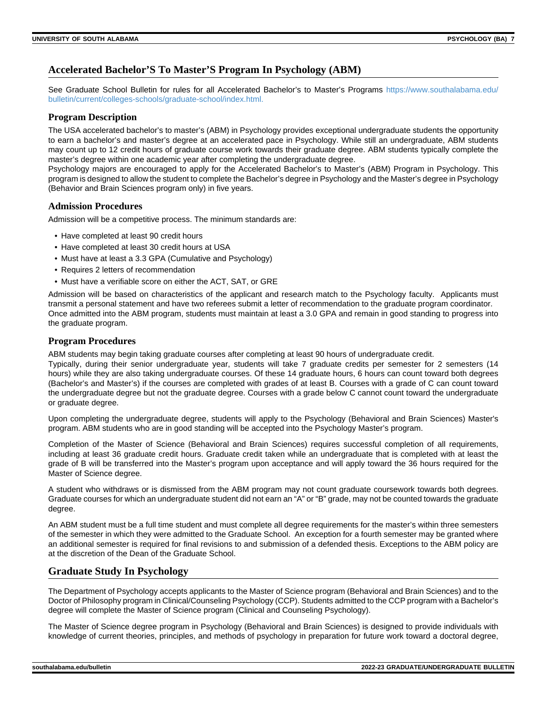#### **Accelerated Bachelor'S To Master'S Program In Psychology (ABM)**

See Graduate School Bulletin for rules for all Accelerated Bachelor's to Master's Programs [https://www.southalabama.edu/](https://www.southalabama.edu/bulletin/current/colleges-schools/graduate-school/index.html.) [bulletin/current/colleges-schools/graduate-school/index.html.](https://www.southalabama.edu/bulletin/current/colleges-schools/graduate-school/index.html.)

#### **Program Description**

The USA accelerated bachelor's to master's (ABM) in Psychology provides exceptional undergraduate students the opportunity to earn a bachelor's and master's degree at an accelerated pace in Psychology. While still an undergraduate, ABM students may count up to 12 credit hours of graduate course work towards their graduate degree. ABM students typically complete the master's degree within one academic year after completing the undergraduate degree.

Psychology majors are encouraged to apply for the Accelerated Bachelor's to Master's (ABM) Program in Psychology. This program is designed to allow the student to complete the Bachelor's degree in Psychology and the Master's degree in Psychology (Behavior and Brain Sciences program only) in five years.

#### **Admission Procedures**

Admission will be a competitive process. The minimum standards are:

- Have completed at least 90 credit hours
- Have completed at least 30 credit hours at USA
- Must have at least a 3.3 GPA (Cumulative and Psychology)
- Requires 2 letters of recommendation
- Must have a verifiable score on either the ACT, SAT, or GRE

Admission will be based on characteristics of the applicant and research match to the Psychology faculty. Applicants must transmit a personal statement and have two referees submit a letter of recommendation to the graduate program coordinator. Once admitted into the ABM program, students must maintain at least a 3.0 GPA and remain in good standing to progress into the graduate program.

#### **Program Procedures**

ABM students may begin taking graduate courses after completing at least 90 hours of undergraduate credit. Typically, during their senior undergraduate year, students will take 7 graduate credits per semester for 2 semesters (14 hours) while they are also taking undergraduate courses. Of these 14 graduate hours, 6 hours can count toward both degrees (Bachelor's and Master's) if the courses are completed with grades of at least B. Courses with a grade of C can count toward the undergraduate degree but not the graduate degree. Courses with a grade below C cannot count toward the undergraduate or graduate degree.

Upon completing the undergraduate degree, students will apply to the Psychology (Behavioral and Brain Sciences) Master's program. ABM students who are in good standing will be accepted into the Psychology Master's program.

Completion of the Master of Science (Behavioral and Brain Sciences) requires successful completion of all requirements, including at least 36 graduate credit hours. Graduate credit taken while an undergraduate that is completed with at least the grade of B will be transferred into the Master's program upon acceptance and will apply toward the 36 hours required for the Master of Science degree.

A student who withdraws or is dismissed from the ABM program may not count graduate coursework towards both degrees. Graduate courses for which an undergraduate student did not earn an "A" or "B" grade, may not be counted towards the graduate degree.

An ABM student must be a full time student and must complete all degree requirements for the master's within three semesters of the semester in which they were admitted to the Graduate School. An exception for a fourth semester may be granted where an additional semester is required for final revisions to and submission of a defended thesis. Exceptions to the ABM policy are at the discretion of the Dean of the Graduate School.

#### **Graduate Study In Psychology**

The Department of Psychology accepts applicants to the Master of Science program (Behavioral and Brain Sciences) and to the Doctor of Philosophy program in Clinical/Counseling Psychology (CCP). Students admitted to the CCP program with a Bachelor's degree will complete the Master of Science program (Clinical and Counseling Psychology).

The Master of Science degree program in Psychology (Behavioral and Brain Sciences) is designed to provide individuals with knowledge of current theories, principles, and methods of psychology in preparation for future work toward a doctoral degree,